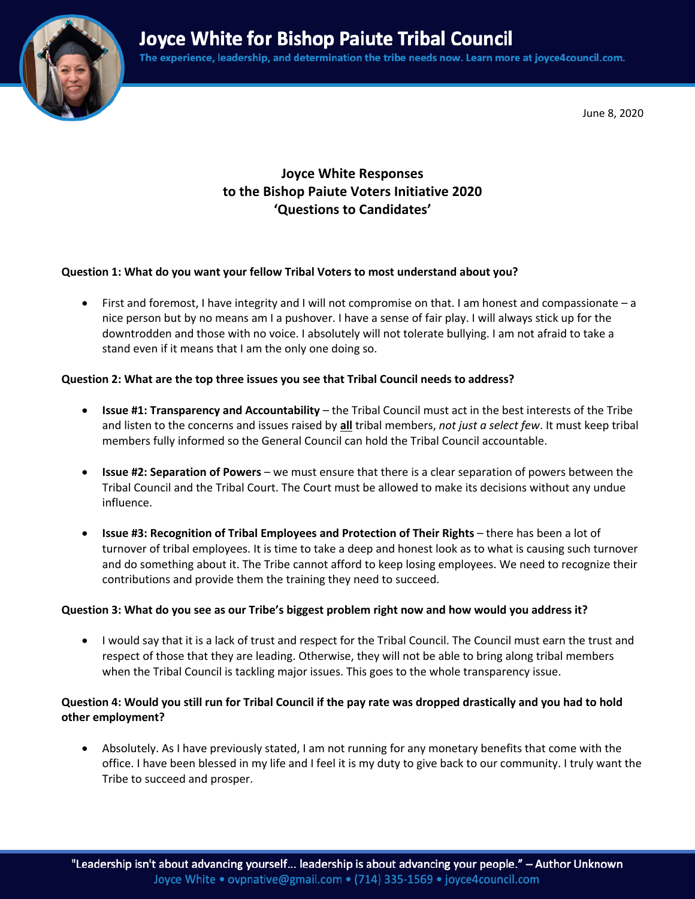**Joyce White for Bishop Paiute Tribal Council** 

The experience, leadership, and determination the tribe needs now. Learn more at joyce4council.com.



June 8, 2020

# **Joyce White Responses to the Bishop Paiute Voters Initiative 2020 'Questions to Candidates'**

#### **Question 1: What do you want your fellow Tribal Voters to most understand about you?**

• First and foremost, I have integrity and I will not compromise on that. I am honest and compassionate – a nice person but by no means am I a pushover. I have a sense of fair play. I will always stick up for the downtrodden and those with no voice. I absolutely will not tolerate bullying. I am not afraid to take a stand even if it means that I am the only one doing so.

#### **Question 2: What are the top three issues you see that Tribal Council needs to address?**

- **Issue #1: Transparency and Accountability** the Tribal Council must act in the best interests of the Tribe and listen to the concerns and issues raised by **all** tribal members, *not just a select few*. It must keep tribal members fully informed so the General Council can hold the Tribal Council accountable.
- **Issue #2: Separation of Powers** we must ensure that there is a clear separation of powers between the Tribal Council and the Tribal Court. The Court must be allowed to make its decisions without any undue influence.
- **Issue #3: Recognition of Tribal Employees and Protection of Their Rights** there has been a lot of turnover of tribal employees. It is time to take a deep and honest look as to what is causing such turnover and do something about it. The Tribe cannot afford to keep losing employees. We need to recognize their contributions and provide them the training they need to succeed.

#### **Question 3: What do you see as our Tribe's biggest problem right now and how would you address it?**

• I would say that it is a lack of trust and respect for the Tribal Council. The Council must earn the trust and respect of those that they are leading. Otherwise, they will not be able to bring along tribal members when the Tribal Council is tackling major issues. This goes to the whole transparency issue.

### **Question 4: Would you still run for Tribal Council if the pay rate was dropped drastically and you had to hold other employment?**

• Absolutely. As I have previously stated, I am not running for any monetary benefits that come with the office. I have been blessed in my life and I feel it is my duty to give back to our community. I truly want the Tribe to succeed and prosper.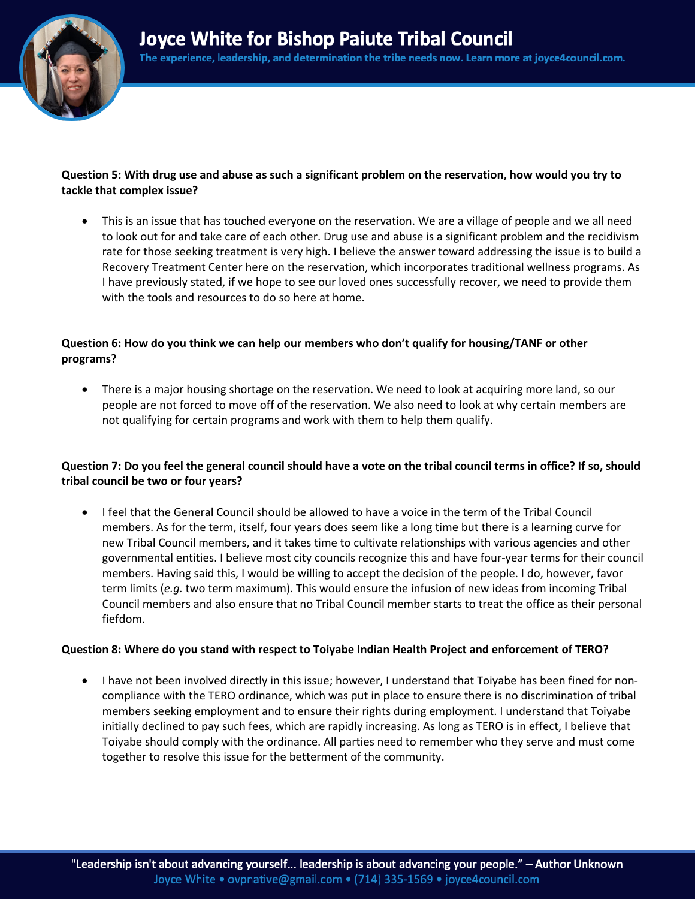

# **Question 5: With drug use and abuse as such a significant problem on the reservation, how would you try to tackle that complex issue?**

• This is an issue that has touched everyone on the reservation. We are a village of people and we all need to look out for and take care of each other. Drug use and abuse is a significant problem and the recidivism rate for those seeking treatment is very high. I believe the answer toward addressing the issue is to build a Recovery Treatment Center here on the reservation, which incorporates traditional wellness programs. As I have previously stated, if we hope to see our loved ones successfully recover, we need to provide them with the tools and resources to do so here at home.

### **Question 6: How do you think we can help our members who don't qualify for housing/TANF or other programs?**

• There is a major housing shortage on the reservation. We need to look at acquiring more land, so our people are not forced to move off of the reservation. We also need to look at why certain members are not qualifying for certain programs and work with them to help them qualify.

# **Question 7: Do you feel the general council should have a vote on the tribal council terms in office? If so, should tribal council be two or four years?**

• I feel that the General Council should be allowed to have a voice in the term of the Tribal Council members. As for the term, itself, four years does seem like a long time but there is a learning curve for new Tribal Council members, and it takes time to cultivate relationships with various agencies and other governmental entities. I believe most city councils recognize this and have four-year terms for their council members. Having said this, I would be willing to accept the decision of the people. I do, however, favor term limits (*e.g.* two term maximum). This would ensure the infusion of new ideas from incoming Tribal Council members and also ensure that no Tribal Council member starts to treat the office as their personal fiefdom.

### **Question 8: Where do you stand with respect to Toiyabe Indian Health Project and enforcement of TERO?**

• I have not been involved directly in this issue; however, I understand that Toiyabe has been fined for noncompliance with the TERO ordinance, which was put in place to ensure there is no discrimination of tribal members seeking employment and to ensure their rights during employment. I understand that Toiyabe initially declined to pay such fees, which are rapidly increasing. As long as TERO is in effect, I believe that Toiyabe should comply with the ordinance. All parties need to remember who they serve and must come together to resolve this issue for the betterment of the community.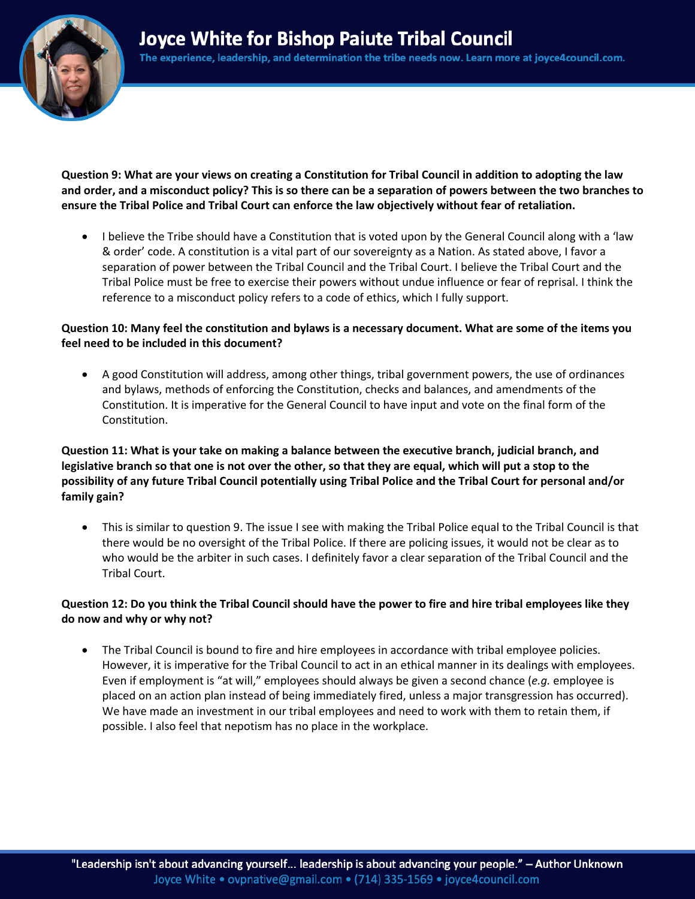

**Question 9: What are your views on creating a Constitution for Tribal Council in addition to adopting the law and order, and a misconduct policy? This is so there can be a separation of powers between the two branches to ensure the Tribal Police and Tribal Court can enforce the law objectively without fear of retaliation.**

• I believe the Tribe should have a Constitution that is voted upon by the General Council along with a 'law & order' code. A constitution is a vital part of our sovereignty as a Nation. As stated above, I favor a separation of power between the Tribal Council and the Tribal Court. I believe the Tribal Court and the Tribal Police must be free to exercise their powers without undue influence or fear of reprisal. I think the reference to a misconduct policy refers to a code of ethics, which I fully support.

# **Question 10: Many feel the constitution and bylaws is a necessary document. What are some of the items you feel need to be included in this document?**

• A good Constitution will address, among other things, tribal government powers, the use of ordinances and bylaws, methods of enforcing the Constitution, checks and balances, and amendments of the Constitution. It is imperative for the General Council to have input and vote on the final form of the Constitution.

# **Question 11: What is your take on making a balance between the executive branch, judicial branch, and legislative branch so that one is not over the other, so that they are equal, which will put a stop to the possibility of any future Tribal Council potentially using Tribal Police and the Tribal Court for personal and/or family gain?**

• This is similar to question 9. The issue I see with making the Tribal Police equal to the Tribal Council is that there would be no oversight of the Tribal Police. If there are policing issues, it would not be clear as to who would be the arbiter in such cases. I definitely favor a clear separation of the Tribal Council and the Tribal Court.

# **Question 12: Do you think the Tribal Council should have the power to fire and hire tribal employees like they do now and why or why not?**

• The Tribal Council is bound to fire and hire employees in accordance with tribal employee policies. However, it is imperative for the Tribal Council to act in an ethical manner in its dealings with employees. Even if employment is "at will," employees should always be given a second chance (*e.g.* employee is placed on an action plan instead of being immediately fired, unless a major transgression has occurred). We have made an investment in our tribal employees and need to work with them to retain them, if possible. I also feel that nepotism has no place in the workplace.